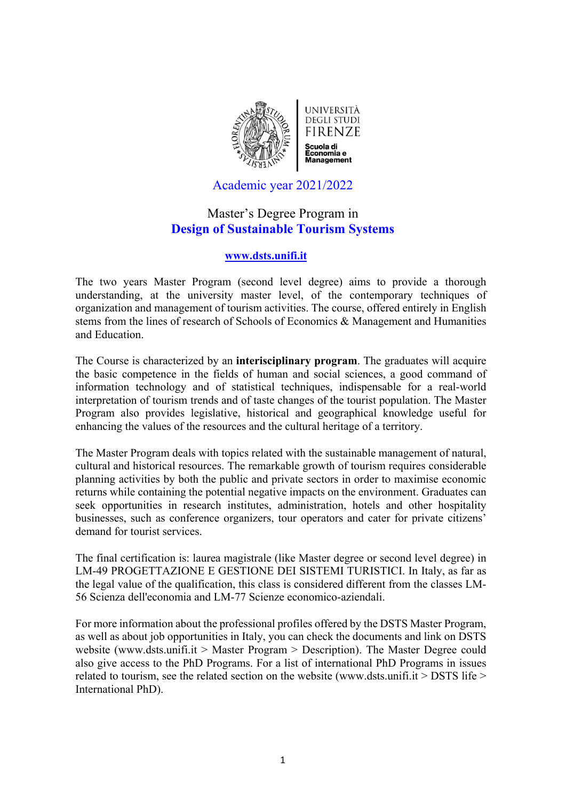

Academic year 2021/2022

# Master's Degree Program in **Design of Sustainable Tourism Systems**

# **www.dsts.unifi.it**

The two years Master Program (second level degree) aims to provide a thorough understanding, at the university master level, of the contemporary techniques of organization and management of tourism activities. The course, offered entirely in English stems from the lines of research of Schools of Economics & Management and Humanities and Education.

The Course is characterized by an **interisciplinary program**. The graduates will acquire the basic competence in the fields of human and social sciences, a good command of information technology and of statistical techniques, indispensable for a real-world interpretation of tourism trends and of taste changes of the tourist population. The Master Program also provides legislative, historical and geographical knowledge useful for enhancing the values of the resources and the cultural heritage of a territory.

The Master Program deals with topics related with the sustainable management of natural, cultural and historical resources. The remarkable growth of tourism requires considerable planning activities by both the public and private sectors in order to maximise economic returns while containing the potential negative impacts on the environment. Graduates can seek opportunities in research institutes, administration, hotels and other hospitality businesses, such as conference organizers, tour operators and cater for private citizens' demand for tourist services.

The final certification is: laurea magistrale (like Master degree or second level degree) in LM-49 PROGETTAZIONE E GESTIONE DEI SISTEMI TURISTICI. In Italy, as far as the legal value of the qualification, this class is considered different from the classes LM-56 Scienza dell'economia and LM-77 Scienze economico-aziendali.

For more information about the professional profiles offered by the DSTS Master Program, as well as about job opportunities in Italy, you can check the documents and link on DSTS website (www.dsts.unifi.it > Master Program > Description). The Master Degree could also give access to the PhD Programs. For a list of international PhD Programs in issues related to tourism, see the related section on the website (www.dsts.unifi.it > DSTS life > International PhD).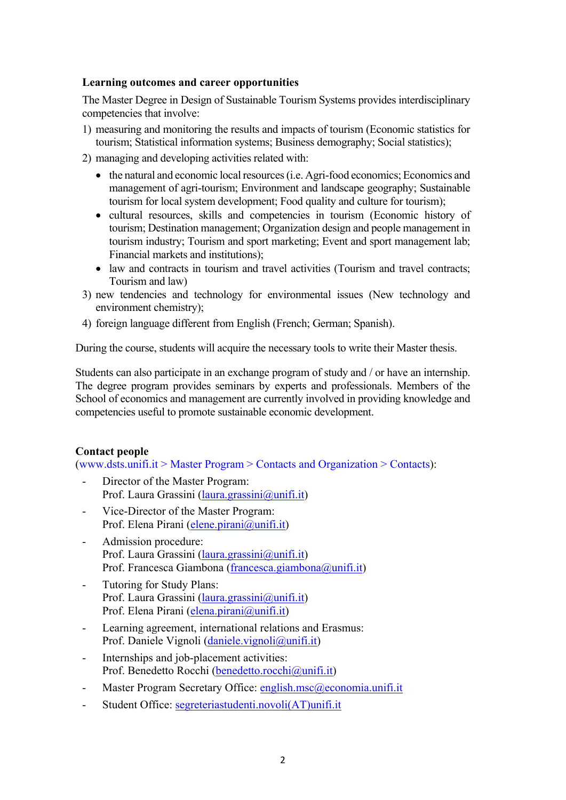## **Learning outcomes and career opportunities**

The Master Degree in Design of Sustainable Tourism Systems provides interdisciplinary competencies that involve:

- 1) measuring and monitoring the results and impacts of tourism (Economic statistics for tourism; Statistical information systems; Business demography; Social statistics);
- 2) managing and developing activities related with:
	- the natural and economic local resources (i.e. Agri-food economics; Economics and management of agri-tourism; Environment and landscape geography; Sustainable tourism for local system development; Food quality and culture for tourism);
	- cultural resources, skills and competencies in tourism (Economic history of tourism; Destination management; Organization design and people management in tourism industry; Tourism and sport marketing; Event and sport management lab; Financial markets and institutions);
	- law and contracts in tourism and travel activities (Tourism and travel contracts; Tourism and law)
- 3) new tendencies and technology for environmental issues (New technology and environment chemistry);
- 4) foreign language different from English (French; German; Spanish).

During the course, students will acquire the necessary tools to write their Master thesis.

Students can also participate in an exchange program of study and / or have an internship. The degree program provides seminars by experts and professionals. Members of the School of economics and management are currently involved in providing knowledge and competencies useful to promote sustainable economic development.

## **Contact people**

(www.dsts.unifi.it > Master Program > Contacts and Organization > Contacts):

- Director of the Master Program: Prof. Laura Grassini (laura.grassini@unifi.it)
- Vice-Director of the Master Program: Prof. Elena Pirani (elene.pirani@unifi.it)
- Admission procedure: Prof. Laura Grassini (laura.grassini@unifi.it) Prof. Francesca Giambona (francesca.giambona@unifi.it)
- Tutoring for Study Plans: Prof. Laura Grassini (laura.grassini@unifi.it) Prof. Elena Pirani (elena.pirani@unifi.it)
- Learning agreement, international relations and Erasmus: Prof. Daniele Vignoli (daniele.vignoli@unifi.it)
- Internships and job-placement activities: Prof. Benedetto Rocchi (benedetto.rocchi@unifi.it)
- Master Program Secretary Office: english.msc@economia.unifi.it
- Student Office: segreteriastudenti.novoli(AT)unifi.it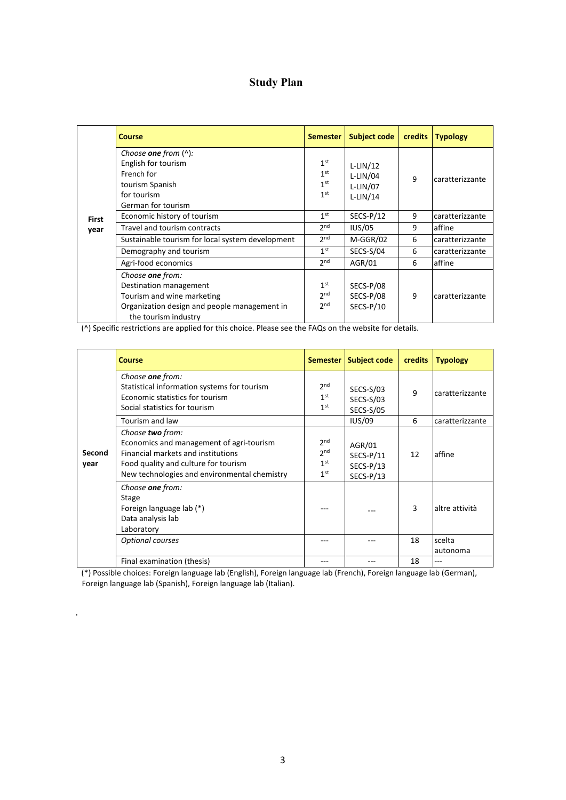# **Study Plan**

| <b>First</b><br>year | <b>Course</b>                                                                                                                | <b>Semester</b>                                                          | <b>Subject code</b>                                  | <b>credits</b> | <b>Typology</b> |
|----------------------|------------------------------------------------------------------------------------------------------------------------------|--------------------------------------------------------------------------|------------------------------------------------------|----------------|-----------------|
|                      | Choose one from $(^{\wedge})$ :<br>English for tourism<br>French for<br>tourism Spanish<br>for tourism<br>German for tourism | 1 <sup>st</sup><br>1 <sup>st</sup><br>1 <sup>st</sup><br>1 <sup>st</sup> | $L-LIN/12$<br>$L-LIN/04$<br>$L-LIN/07$<br>$L-LIN/14$ | $\mathsf{q}$   | caratterizzante |
|                      | Economic history of tourism                                                                                                  | 1 <sup>st</sup>                                                          | $SECS-P/12$                                          | 9              | caratterizzante |
|                      | Travel and tourism contracts                                                                                                 | 2 <sub>nd</sub>                                                          | <b>IUS/05</b>                                        | 9              | affine          |
|                      | Sustainable tourism for local system development                                                                             | 2 <sub>nd</sub>                                                          | M-GGR/02                                             | 6              | caratterizzante |
|                      | Demography and tourism                                                                                                       | 1 <sup>st</sup>                                                          | SECS-S/04                                            | 6              | caratterizzante |
|                      | Agri-food economics                                                                                                          | 2 <sub>nd</sub>                                                          | AGR/01                                               | 6              | affine          |
|                      | Choose one from:                                                                                                             |                                                                          |                                                      |                |                 |
|                      | Destination management                                                                                                       | 1 <sup>st</sup>                                                          | SECS-P/08                                            |                |                 |
|                      | Tourism and wine marketing                                                                                                   | 2 <sub>nd</sub>                                                          | SECS-P/08                                            | 9              | caratterizzante |
|                      | Organization design and people management in<br>the tourism industry                                                         | 2 <sub>nd</sub>                                                          | SECS-P/10                                            |                |                 |

(^) Specific restrictions are applied for this choice. Please see the FAQs on the website for details.

| Second<br>year | <b>Course</b>                                                                                                                                                                              |                                                                          | Semester   Subject code                           | credits | <b>Typology</b> |
|----------------|--------------------------------------------------------------------------------------------------------------------------------------------------------------------------------------------|--------------------------------------------------------------------------|---------------------------------------------------|---------|-----------------|
|                | Choose one from:<br>Statistical information systems for tourism<br>Economic statistics for tourism<br>Social statistics for tourism                                                        | 2 <sup>nd</sup><br>1 <sup>st</sup><br>1 <sup>st</sup>                    | SECS-S/03<br>SECS-S/03<br><b>SECS-S/05</b>        | 9       | caratterizzante |
|                | Tourism and law                                                                                                                                                                            |                                                                          | <b>IUS/09</b>                                     | 6       | caratterizzante |
|                | Choose two from:<br>Economics and management of agri-tourism<br>Financial markets and institutions<br>Food quality and culture for tourism<br>New technologies and environmental chemistry | 2 <sup>nd</sup><br>2 <sup>nd</sup><br>1 <sup>st</sup><br>1 <sup>st</sup> | AGR/01<br>$SECS-P/11$<br>$SECS-P/13$<br>SECS-P/13 | 12      | affine          |
|                | Choose one from:<br>Stage<br>Foreign language lab (*)<br>Data analysis lab<br>Laboratory                                                                                                   |                                                                          |                                                   | 3       | laltre attività |
|                | Optional courses                                                                                                                                                                           | ---                                                                      |                                                   | 18      | scelta          |
|                |                                                                                                                                                                                            |                                                                          |                                                   |         | autonoma        |
|                | Final examination (thesis)                                                                                                                                                                 |                                                                          |                                                   | 18      |                 |

(\*) Possible choices: Foreign language lab (English), Foreign language lab (French), Foreign language lab (German), Foreign language lab (Spanish), Foreign language lab (Italian).

.